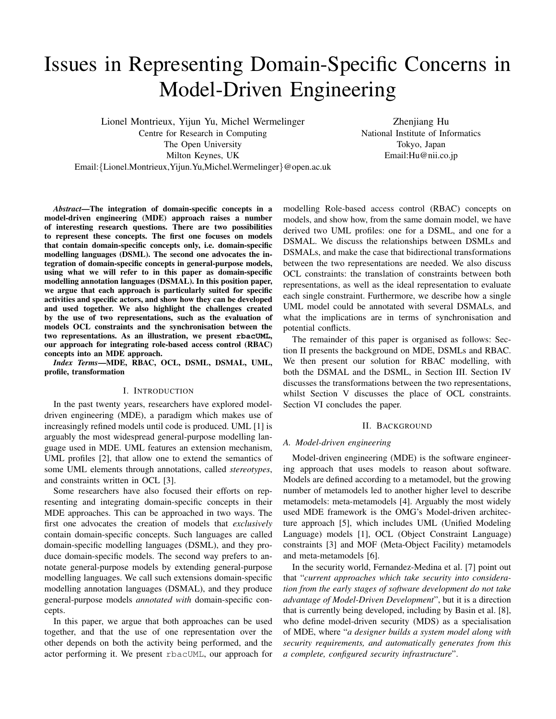# Issues in Representing Domain-Specific Concerns in Model-Driven Engineering

Lionel Montrieux, Yijun Yu, Michel Wermelinger

Centre for Research in Computing

The Open University

Milton Keynes, UK

Zhenjiang Hu National Institute of Informatics Tokyo, Japan Email:Hu@nii.co.jp

Email:{Lionel.Montrieux,Yijun.Yu,Michel.Wermelinger}@open.ac.uk

*Abstract*—The integration of domain-specific concepts in a model-driven engineering (MDE) approach raises a number of interesting research questions. There are two possibilities to represent these concepts. The first one focuses on models that contain domain-specific concepts only, i.e. domain-specific modelling languages (DSML). The second one advocates the integration of domain-specific concepts in general-purpose models, using what we will refer to in this paper as domain-specific modelling annotation languages (DSMAL). In this position paper, we argue that each approach is particularly suited for specific activities and specific actors, and show how they can be developed and used together. We also highlight the challenges created by the use of two representations, such as the evaluation of models OCL constraints and the synchronisation between the two representations. As an illustration, we present **rbacUML**, our approach for integrating role-based access control (RBAC) concepts into an MDE approach.

*Index Terms*—MDE, RBAC, OCL, DSML, DSMAL, UML, profile, transformation

## I. INTRODUCTION

In the past twenty years, researchers have explored modeldriven engineering (MDE), a paradigm which makes use of increasingly refined models until code is produced. UML [1] is arguably the most widespread general-purpose modelling language used in MDE. UML features an extension mechanism, UML profiles [2], that allow one to extend the semantics of some UML elements through annotations, called *stereotypes*, and constraints written in OCL [3].

Some researchers have also focused their efforts on representing and integrating domain-specific concepts in their MDE approaches. This can be approached in two ways. The first one advocates the creation of models that *exclusively* contain domain-specific concepts. Such languages are called domain-specific modelling languages (DSML), and they produce domain-specific models. The second way prefers to annotate general-purpose models by extending general-purpose modelling languages. We call such extensions domain-specific modelling annotation languages (DSMAL), and they produce general-purpose models *annotated with* domain-specific concepts.

In this paper, we argue that both approaches can be used together, and that the use of one representation over the other depends on both the activity being performed, and the actor performing it. We present rbacUML, our approach for modelling Role-based access control (RBAC) concepts on models, and show how, from the same domain model, we have derived two UML profiles: one for a DSML, and one for a DSMAL. We discuss the relationships between DSMLs and DSMALs, and make the case that bidirectional transformations between the two representations are needed. We also discuss OCL constraints: the translation of constraints between both representations, as well as the ideal representation to evaluate each single constraint. Furthermore, we describe how a single UML model could be annotated with several DSMALs, and what the implications are in terms of synchronisation and potential conflicts.

The remainder of this paper is organised as follows: Section II presents the background on MDE, DSMLs and RBAC. We then present our solution for RBAC modelling, with both the DSMAL and the DSML, in Section III. Section IV discusses the transformations between the two representations, whilst Section V discusses the place of OCL constraints. Section VI concludes the paper.

#### II. BACKGROUND

## *A. Model-driven engineering*

Model-driven engineering (MDE) is the software engineering approach that uses models to reason about software. Models are defined according to a metamodel, but the growing number of metamodels led to another higher level to describe metamodels: meta-metamodels [4]. Arguably the most widely used MDE framework is the OMG's Model-driven architecture approach [5], which includes UML (Unified Modeling Language) models [1], OCL (Object Constraint Language) constraints [3] and MOF (Meta-Object Facility) metamodels and meta-metamodels [6].

In the security world, Fernandez-Medina et al. [7] point out that "*current approaches which take security into consideration from the early stages of software development do not take advantage of Model-Driven Development*", but it is a direction that is currently being developed, including by Basin et al. [8], who define model-driven security (MDS) as a specialisation of MDE, where "*a designer builds a system model along with security requirements, and automatically generates from this a complete, configured security infrastructure*".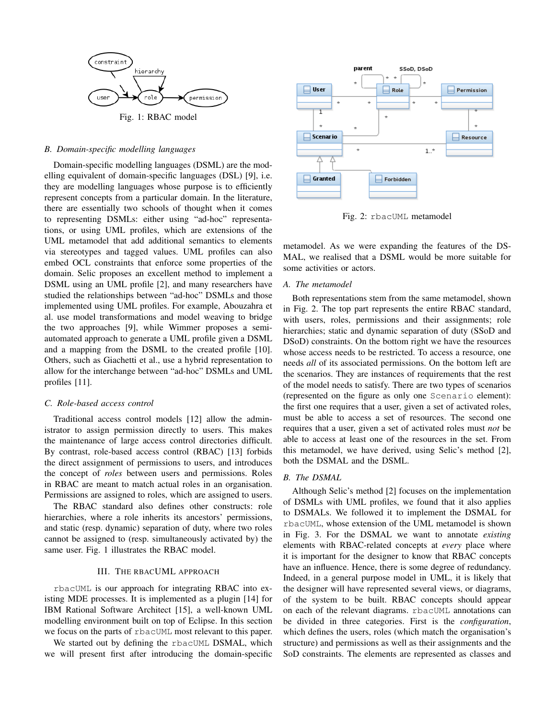

# *B. Domain-specific modelling languages*

Domain-specific modelling languages (DSML) are the modelling equivalent of domain-specific languages (DSL) [9], i.e. they are modelling languages whose purpose is to efficiently represent concepts from a particular domain. In the literature, there are essentially two schools of thought when it comes to representing DSMLs: either using "ad-hoc" representations, or using UML profiles, which are extensions of the UML metamodel that add additional semantics to elements via stereotypes and tagged values. UML profiles can also embed OCL constraints that enforce some properties of the domain. Selic proposes an excellent method to implement a DSML using an UML profile [2], and many researchers have studied the relationships between "ad-hoc" DSMLs and those implemented using UML profiles. For example, Abouzahra et al. use model transformations and model weaving to bridge the two approaches [9], while Wimmer proposes a semiautomated approach to generate a UML profile given a DSML and a mapping from the DSML to the created profile [10]. Others, such as Giachetti et al., use a hybrid representation to allow for the interchange between "ad-hoc" DSMLs and UML profiles [11].

## *C. Role-based access control*

Traditional access control models [12] allow the administrator to assign permission directly to users. This makes the maintenance of large access control directories difficult. By contrast, role-based access control (RBAC) [13] forbids the direct assignment of permissions to users, and introduces the concept of *roles* between users and permissions. Roles in RBAC are meant to match actual roles in an organisation. Permissions are assigned to roles, which are assigned to users.

The RBAC standard also defines other constructs: role hierarchies, where a role inherits its ancestors' permissions, and static (resp. dynamic) separation of duty, where two roles cannot be assigned to (resp. simultaneously activated by) the same user. Fig. 1 illustrates the RBAC model.

## III. THE RBACUML APPROACH

rbacUML is our approach for integrating RBAC into existing MDE processes. It is implemented as a plugin [14] for IBM Rational Software Architect [15], a well-known UML modelling environment built on top of Eclipse. In this section we focus on the parts of rbacUML most relevant to this paper.

We started out by defining the rbacUML DSMAL, which we will present first after introducing the domain-specific



Fig. 2: rbacUML metamodel

metamodel. As we were expanding the features of the DS-MAL, we realised that a DSML would be more suitable for some activities or actors.

## *A. The metamodel*

Both representations stem from the same metamodel, shown in Fig. 2. The top part represents the entire RBAC standard, with users, roles, permissions and their assignments; role hierarchies; static and dynamic separation of duty (SSoD and DSoD) constraints. On the bottom right we have the resources whose access needs to be restricted. To access a resource, one needs *all* of its associated permissions. On the bottom left are the scenarios. They are instances of requirements that the rest of the model needs to satisfy. There are two types of scenarios (represented on the figure as only one Scenario element): the first one requires that a user, given a set of activated roles, must be able to access a set of resources. The second one requires that a user, given a set of activated roles must *not* be able to access at least one of the resources in the set. From this metamodel, we have derived, using Selic's method [2], both the DSMAL and the DSML.

# *B. The DSMAL*

Although Selic's method [2] focuses on the implementation of DSMLs with UML profiles, we found that it also applies to DSMALs. We followed it to implement the DSMAL for rbacUML, whose extension of the UML metamodel is shown in Fig. 3. For the DSMAL we want to annotate *existing* elements with RBAC-related concepts at *every* place where it is important for the designer to know that RBAC concepts have an influence. Hence, there is some degree of redundancy. Indeed, in a general purpose model in UML, it is likely that the designer will have represented several views, or diagrams, of the system to be built. RBAC concepts should appear on each of the relevant diagrams. rbacUML annotations can be divided in three categories. First is the *configuration*, which defines the users, roles (which match the organisation's structure) and permissions as well as their assignments and the SoD constraints. The elements are represented as classes and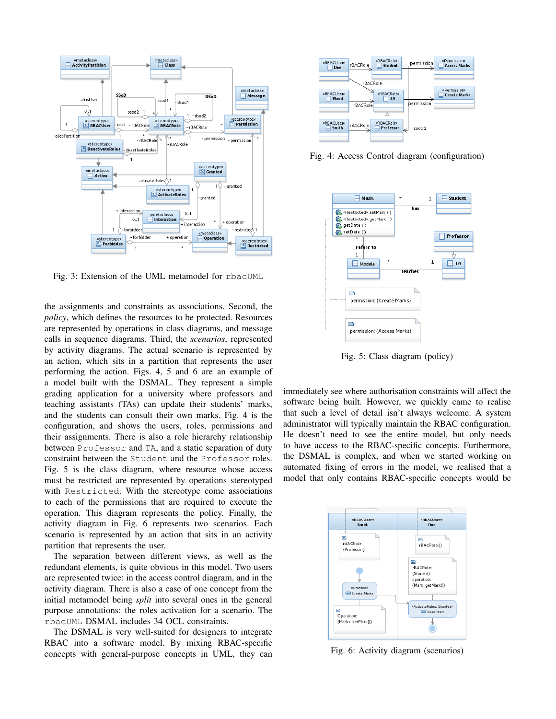

Fig. 3: Extension of the UML metamodel for rbacUML

the assignments and constraints as associations. Second, the *policy*, which defines the resources to be protected. Resources are represented by operations in class diagrams, and message calls in sequence diagrams. Third, the *scenarios*, represented by activity diagrams. The actual scenario is represented by an action, which sits in a partition that represents the user performing the action. Figs. 4, 5 and 6 are an example of a model built with the DSMAL. They represent a simple grading application for a university where professors and teaching assistants (TAs) can update their students' marks, and the students can consult their own marks. Fig. 4 is the configuration, and shows the users, roles, permissions and their assignments. There is also a role hierarchy relationship between Professor and TA, and a static separation of duty constraint between the Student and the Professor roles. Fig. 5 is the class diagram, where resource whose access must be restricted are represented by operations stereotyped with Restricted. With the stereotype come associations to each of the permissions that are required to execute the operation. This diagram represents the policy. Finally, the activity diagram in Fig. 6 represents two scenarios. Each scenario is represented by an action that sits in an activity partition that represents the user.

The separation between different views, as well as the redundant elements, is quite obvious in this model. Two users are represented twice: in the access control diagram, and in the activity diagram. There is also a case of one concept from the initial metamodel being *split* into several ones in the general purpose annotations: the roles activation for a scenario. The rbacUML DSMAL includes 34 OCL constraints.

The DSMAL is very well-suited for designers to integrate RBAC into a software model. By mixing RBAC-specific concepts with general-purpose concepts in UML, they can



Fig. 4: Access Control diagram (configuration)



Fig. 5: Class diagram (policy)

immediately see where authorisation constraints will affect the software being built. However, we quickly came to realise that such a level of detail isn't always welcome. A system administrator will typically maintain the RBAC configuration. He doesn't need to see the entire model, but only needs to have access to the RBAC-specific concepts. Furthermore, the DSMAL is complex, and when we started working on automated fixing of errors in the model, we realised that a model that only contains RBAC-specific concepts would be



Fig. 6: Activity diagram (scenarios)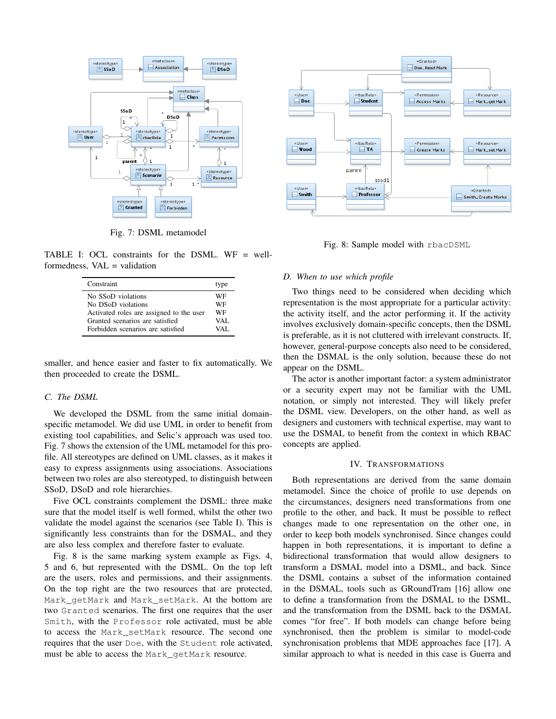

Fig. 7: DSML metamodel

TABLE I: OCL constraints for the DSML. WF = wellformedness, VAL = validation

| Constraint                               | type |
|------------------------------------------|------|
| No SSoD violations                       | WF   |
| No DSoD violations                       | WF   |
| Activated roles are assigned to the user | WF   |
| Granted scenarios are satisfied          | VAI. |
| Forbidden scenarios are satisfied        | VAL. |

smaller, and hence easier and faster to fix automatically. We then proceeded to create the DSML.

## *C. The DSML*

We developed the DSML from the same initial domainspecific metamodel. We did use UML in order to benefit from existing tool capabilities, and Selic's approach was used too. Fig. 7 shows the extension of the UML metamodel for this profile. All stereotypes are defined on UML classes, as it makes it easy to express assignments using associations. Associations between two roles are also stereotyped, to distinguish between SSoD, DSoD and role hierarchies.

Five OCL constraints complement the DSML: three make sure that the model itself is well formed, whilst the other two validate the model against the scenarios (see Table I). This is significantly less constraints than for the DSMAL, and they are also less complex and therefore faster to evaluate.

Fig. 8 is the same marking system example as Figs. 4, 5 and 6, but represented with the DSML. On the top left are the users, roles and permissions, and their assignments. On the top right are the two resources that are protected, Mark\_getMark and Mark\_setMark. At the bottom are two Granted scenarios. The first one requires that the user Smith, with the Professor role activated, must be able to access the Mark\_setMark resource. The second one requires that the user Doe, with the Student role activated, must be able to access the Mark\_getMark resource.



Fig. 8: Sample model with rbacDSML

#### *D. When to use which profile*

Two things need to be considered when deciding which representation is the most appropriate for a particular activity: the activity itself, and the actor performing it. If the activity involves exclusively domain-specific concepts, then the DSML is preferable, as it is not cluttered with irrelevant constructs. If, however, general-purpose concepts also need to be considered, then the DSMAL is the only solution, because these do not appear on the DSML.

The actor is another important factor: a system administrator or a security expert may not be familiar with the UML notation, or simply not interested. They will likely prefer the DSML view. Developers, on the other hand, as well as designers and customers with technical expertise, may want to use the DSMAL to benefit from the context in which RBAC concepts are applied.

# IV. TRANSFORMATIONS

Both representations are derived from the same domain metamodel. Since the choice of profile to use depends on the circumstances, designers need transformations from one profile to the other, and back. It must be possible to reflect changes made to one representation on the other one, in order to keep both models synchronised. Since changes could happen in both representations, it is important to define a bidirectional transformation that would allow designers to transform a DSMAL model into a DSML, and back. Since the DSML contains a subset of the information contained in the DSMAL, tools such as GRoundTram [16] allow one to define a transformation from the DSMAL to the DSML, and the transformation from the DSML back to the DSMAL comes "for free". If both models can change before being synchronised, then the problem is similar to model-code synchronisation problems that MDE approaches face [17]. A similar approach to what is needed in this case is Guerra and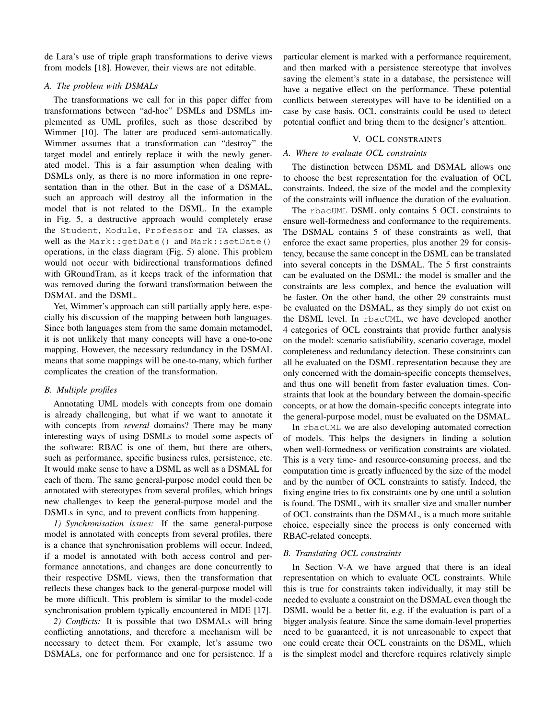de Lara's use of triple graph transformations to derive views from models [18]. However, their views are not editable.

## *A. The problem with DSMALs*

The transformations we call for in this paper differ from transformations between "ad-hoc" DSMLs and DSMLs implemented as UML profiles, such as those described by Wimmer [10]. The latter are produced semi-automatically. Wimmer assumes that a transformation can "destroy" the target model and entirely replace it with the newly generated model. This is a fair assumption when dealing with DSMLs only, as there is no more information in one representation than in the other. But in the case of a DSMAL, such an approach will destroy all the information in the model that is not related to the DSML. In the example in Fig. 5, a destructive approach would completely erase the Student, Module, Professor and TA classes, as well as the Mark::getDate() and Mark::setDate() operations, in the class diagram (Fig. 5) alone. This problem would not occur with bidirectional transformations defined with GRoundTram, as it keeps track of the information that was removed during the forward transformation between the DSMAL and the DSML.

Yet, Wimmer's approach can still partially apply here, especially his discussion of the mapping between both languages. Since both languages stem from the same domain metamodel, it is not unlikely that many concepts will have a one-to-one mapping. However, the necessary redundancy in the DSMAL means that some mappings will be one-to-many, which further complicates the creation of the transformation.

# *B. Multiple profiles*

Annotating UML models with concepts from one domain is already challenging, but what if we want to annotate it with concepts from *several* domains? There may be many interesting ways of using DSMLs to model some aspects of the software: RBAC is one of them, but there are others, such as performance, specific business rules, persistence, etc. It would make sense to have a DSML as well as a DSMAL for each of them. The same general-purpose model could then be annotated with stereotypes from several profiles, which brings new challenges to keep the general-purpose model and the DSMLs in sync, and to prevent conflicts from happening.

*1) Synchronisation issues:* If the same general-purpose model is annotated with concepts from several profiles, there is a chance that synchronisation problems will occur. Indeed, if a model is annotated with both access control and performance annotations, and changes are done concurrently to their respective DSML views, then the transformation that reflects these changes back to the general-purpose model will be more difficult. This problem is similar to the model-code synchronisation problem typically encountered in MDE [17].

*2) Conflicts:* It is possible that two DSMALs will bring conflicting annotations, and therefore a mechanism will be necessary to detect them. For example, let's assume two DSMALs, one for performance and one for persistence. If a particular element is marked with a performance requirement, and then marked with a persistence stereotype that involves saving the element's state in a database, the persistence will have a negative effect on the performance. These potential conflicts between stereotypes will have to be identified on a case by case basis. OCL constraints could be used to detect potential conflict and bring them to the designer's attention.

# V. OCL CONSTRAINTS

## *A. Where to evaluate OCL constraints*

The distinction between DSML and DSMAL allows one to choose the best representation for the evaluation of OCL constraints. Indeed, the size of the model and the complexity of the constraints will influence the duration of the evaluation.

The rbacUML DSML only contains 5 OCL constraints to ensure well-formedness and conformance to the requirements. The DSMAL contains 5 of these constraints as well, that enforce the exact same properties, plus another 29 for consistency, because the same concept in the DSML can be translated into several concepts in the DSMAL. The 5 first constraints can be evaluated on the DSML: the model is smaller and the constraints are less complex, and hence the evaluation will be faster. On the other hand, the other 29 constraints must be evaluated on the DSMAL, as they simply do not exist on the DSML level. In rbacUML, we have developed another 4 categories of OCL constraints that provide further analysis on the model: scenario satisfiability, scenario coverage, model completeness and redundancy detection. These constraints can all be evaluated on the DSML representation because they are only concerned with the domain-specific concepts themselves, and thus one will benefit from faster evaluation times. Constraints that look at the boundary between the domain-specific concepts, or at how the domain-specific concepts integrate into the general-purpose model, must be evaluated on the DSMAL.

In rbacUML we are also developing automated correction of models. This helps the designers in finding a solution when well-formedness or verification constraints are violated. This is a very time- and resource-consuming process, and the computation time is greatly influenced by the size of the model and by the number of OCL constraints to satisfy. Indeed, the fixing engine tries to fix constraints one by one until a solution is found. The DSML, with its smaller size and smaller number of OCL constraints than the DSMAL, is a much more suitable choice, especially since the process is only concerned with RBAC-related concepts.

# *B. Translating OCL constraints*

In Section V-A we have argued that there is an ideal representation on which to evaluate OCL constraints. While this is true for constraints taken individually, it may still be needed to evaluate a constraint on the DSMAL even though the DSML would be a better fit, e.g. if the evaluation is part of a bigger analysis feature. Since the same domain-level properties need to be guaranteed, it is not unreasonable to expect that one could create their OCL constraints on the DSML, which is the simplest model and therefore requires relatively simple